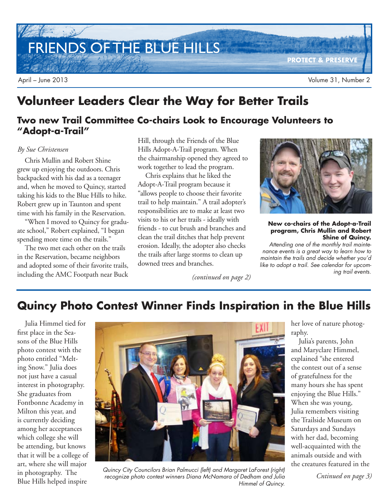FRIENDS OF THE BLUE HILLS

**PROTECT & PRESERVE**

## **Volunteer Leaders Clear the Way for Better Trails**

## **Two new Trail Committee Co-chairs Look to Encourage Volunteers to "Adopt-a-Trail"**

### *By Sue Christensen*

Chris Mullin and Robert Shine grew up enjoying the outdoors. Chris backpacked with his dad as a teenager and, when he moved to Quincy, started taking his kids to the Blue Hills to hike. Robert grew up in Taunton and spent time with his family in the Reservation.

"When I moved to Quincy for graduate school," Robert explained, "I began spending more time on the trails."

The two met each other on the trails in the Reservation, became neighbors and adopted some of their favorite trails, including the AMC Footpath near Buck Hill, through the Friends of the Blue Hills Adopt-A-Trail program. When the chairmanship opened they agreed to work together to lead the program.

Chris explains that he liked the Adopt-A-Trail program because it "allows people to choose their favorite trail to help maintain." A trail adopter's responsibilities are to make at least two visits to his or her trails - ideally with friends - to cut brush and branches and clean the trail ditches that help prevent erosion. Ideally, the adopter also checks the trails after large storms to clean up downed trees and branches.

*(continued on page 2)*



**New co-chairs of the Adopt-a-Trail program, Chris Mullin and Robert Shine of Quincy.**

Attending one of the monthly trail maintenance events is a great way to learn how to maintain the trails and decide whether you'd like to adopt a trail. See calendar for upcoming trail events.

## **Quincy Photo Contest Winner Finds Inspiration in the Blue Hills**

Julia Himmel tied for first place in the Seasons of the Blue Hills photo contest with the photo entitled "Melting Snow." Julia does not just have a casual interest in photography. She graduates from Fontbonne Academy in Milton this year, and is currently deciding among her acceptances which college she will be attending, but knows that it will be a college of art, where she will major in photography. The Blue Hills helped inspire



Quincy City Councilors Brian Palmucci (left) and Margaret LaForest (right) recognize photo contest winners Diana McNamara of Dedham and Julia Himmel of Quincy.

her love of nature photography.

Julia's parents, John and Maryclare Himmel, explained "she entered the contest out of a sense of gratefulness for the many hours she has spent enjoying the Blue Hills." When she was young, Julia remembers visiting the Trailside Museum on Saturdays and Sundays with her dad, becoming well-acquainted with the animals outside and with the creatures featured in the

*Cntinued on page 3)*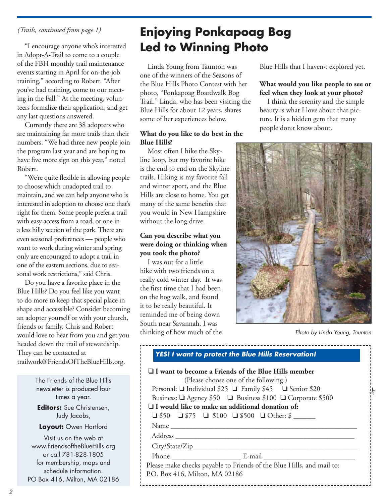"I encourage anyone who's interested in Adopt-A-Trail to come to a couple of the FBH monthly trail maintenance events starting in April for on-the-job training," according to Robert. "After you've had training, come to our meeting in the Fall." At the meeting, volunteers formalize their application, and get any last questions answered.

Currently there are 38 adopters who are maintaining far more trails than their numbers. "We had three new people join the program last year and are hoping to have five more sign on this year," noted Robert.

"We're quite flexible in allowing people to choose which unadopted trail to maintain, and we can help anyone who is interested in adoption to choose one that's right for them. Some people prefer a trail with easy access from a road, or one in a less hilly section of the park. There are even seasonal preferences — people who want to work during winter and spring only are encouraged to adopt a trail in one of the eastern sections, due to seasonal work restrictions," said Chris.

Do you have a favorite place in the Blue Hills? Do you feel like you want to do more to keep that special place in shape and accessible? Consider becoming an adopter yourself or with your church, friends or family. Chris and Robert would love to hear from you and get you headed down the trail of stewardship. They can be contacted at trailwork@FriendsOfTheBlueHills.org.

> The Friends of the Blue Hills newsletter is produced four times a year. **Editors:** Sue Christensen, Judy Jacobs,

**Layout:** Owen Hartford

Visit us on the web at www.FriendsoftheBlueHills.org or call 781-828-1805 for membership, maps and schedule information. PO Box 416, Milton, MA 02186

## *(Trails, continued from page 1)* **Enjoying Ponkapoag Bog Led to Winning Photo**

Linda Young from Taunton was one of the winners of the Seasons of the Blue Hills Photo Contest with her photo, "Ponkapoag Boardwalk Bog Trail." Linda, who has been visiting the Blue Hills for about 12 years, shares some of her experiences below.

## **What do you like to do best in the Blue Hills?**

Most often I hike the Skyline loop, but my favorite hike is the end to end on the Skyline trails. Hiking is my favorite fall and winter sport, and the Blue Hills are close to home. You get many of the same benefits that you would in New Hampshire without the long drive.

## **Can you describe what you were doing or thinking when you took the photo?**

I was out for a little hike with two friends on a really cold winter day. It was the first time that I had been on the bog walk, and found it to be really beautiful. It reminded me of being down South near Savannah. I was thinking of how much of the Blue Hills that I haven›t explored yet.

## **What would you like people to see or feel when they look at your photo?**

I think the serenity and the simple beauty is what I love about that picture. It is a hidden gem that many people don›t know about.



Photo by Linda Young, Taunton

|                                | $\Box$ I want to become a Friends of the Blue Hills member            |
|--------------------------------|-----------------------------------------------------------------------|
|                                | (Please choose one of the following:)                                 |
|                                | Personal: ■ Individual \$25 ■ Family \$45 ■ Senior \$20               |
|                                | Business: □ Agency \$50 □ Business \$100 □ Corporate \$500            |
|                                | $\Box$ I would like to make an additional donation of:                |
|                                | $\Box$ \$50 $\Box$ \$75 $\Box$ \$100 $\Box$ \$500 $\Box$ Other: \$    |
|                                |                                                                       |
|                                |                                                                       |
|                                |                                                                       |
|                                |                                                                       |
|                                | Please make checks payable to Friends of the Blue Hills, and mail to: |
| P.O. Box 416, Milton, MA 02186 |                                                                       |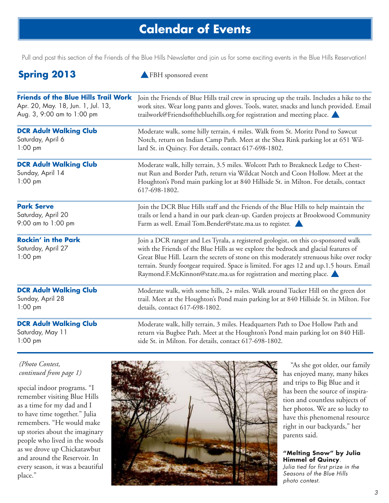## **Calendar of Events**

Pull and post this section of the Friends of the Blue Hills Newsletter and join us for some exciting events in the Blue Hills Reservation!

| <b>Spring 2013</b>                                                    | FBH sponsored event                                                                                                                                                                                                                                                                                                                                                                                                                       |  |
|-----------------------------------------------------------------------|-------------------------------------------------------------------------------------------------------------------------------------------------------------------------------------------------------------------------------------------------------------------------------------------------------------------------------------------------------------------------------------------------------------------------------------------|--|
| <b>Friends of the Blue Hills Trail Work</b>                           | Join the Friends of Blue Hills trail crew in sprucing up the trails. Includes a hike to the                                                                                                                                                                                                                                                                                                                                               |  |
| Apr. 20, May. 18, Jun. 1, Jul. 13,                                    | work sites. Wear long pants and gloves. Tools, water, snacks and lunch provided. Email                                                                                                                                                                                                                                                                                                                                                    |  |
| Aug. 3, 9:00 am to 1:00 pm                                            | trailwork@Friendsofthebluehills.org for registration and meeting place.                                                                                                                                                                                                                                                                                                                                                                   |  |
| <b>DCR Adult Walking Club</b>                                         | Moderate walk, some hilly terrain, 4 miles. Walk from St. Moritz Pond to Sawcut                                                                                                                                                                                                                                                                                                                                                           |  |
| Saturday, April 6                                                     | Notch, return on Indian Camp Path. Meet at the Shea Rink parking lot at 651 Wil-                                                                                                                                                                                                                                                                                                                                                          |  |
| $1:00$ pm                                                             | lard St. in Quincy. For details, contact 617-698-1802.                                                                                                                                                                                                                                                                                                                                                                                    |  |
| <b>DCR Adult Walking Club</b><br>Sunday, April 14<br>$1:00$ pm        | Moderate walk, hilly terrain, 3.5 miles. Wolcott Path to Breakneck Ledge to Chest-<br>nut Run and Border Path, return via Wildcat Notch and Coon Hollow. Meet at the<br>Houghton's Pond main parking lot at 840 Hillside St. in Milton. For details, contact<br>617-698-1802.                                                                                                                                                             |  |
| <b>Park Serve</b>                                                     | Join the DCR Blue Hills staff and the Friends of the Blue Hills to help maintain the                                                                                                                                                                                                                                                                                                                                                      |  |
| Saturday, April 20                                                    | trails or lend a hand in our park clean-up. Garden projects at Brookwood Community                                                                                                                                                                                                                                                                                                                                                        |  |
| 9:00 am to 1:00 pm                                                    | Farm as well. Email Tom.Bender@state.ma.us to register.                                                                                                                                                                                                                                                                                                                                                                                   |  |
| <b>Rockin' in the Park</b><br>Saturday, April 27<br>$1:00 \text{ pm}$ | Join a DCR ranger and Les Tyrala, a registered geologist, on this co-sponsored walk<br>with the Friends of the Blue Hills as we explore the bedrock and glacial features of<br>Great Blue Hill. Learn the secrets of stone on this moderately strenuous hike over rocky<br>terrain. Sturdy footgear required. Space is limited. For ages 12 and up.1.5 hours. Email<br>Raymond.F.McKinnon@state.ma.us for registration and meeting place. |  |
| <b>DCR Adult Walking Club</b>                                         | Moderate walk, with some hills, 2+ miles. Walk around Tucker Hill on the green dot                                                                                                                                                                                                                                                                                                                                                        |  |
| Sunday, April 28                                                      | trail. Meet at the Houghton's Pond main parking lot at 840 Hillside St. in Milton. For                                                                                                                                                                                                                                                                                                                                                    |  |
| $1:00$ pm                                                             | details, contact 617-698-1802.                                                                                                                                                                                                                                                                                                                                                                                                            |  |
| <b>DCR Adult Walking Club</b>                                         | Moderate walk, hilly terrain, 3 miles. Headquarters Path to Doe Hollow Path and                                                                                                                                                                                                                                                                                                                                                           |  |
| Saturday, May 11                                                      | return via Bugbee Path. Meet at the Houghton's Pond main parking lot on 840 Hill-                                                                                                                                                                                                                                                                                                                                                         |  |
| $1:00$ pm                                                             | side St. in Milton. For details, contact 617-698-1802.                                                                                                                                                                                                                                                                                                                                                                                    |  |

## *(Photo Contest, continued from page 1)*

special indoor programs. "I remember visiting Blue Hills as a time for my dad and I to have time together." Julia remembers. "He would make up stories about the imaginary people who lived in the woods as we drove up Chickatawbut and around the Reservoir. In every season, it was a beautiful place."



"As she got older, our family has enjoyed many, many hikes and trips to Big Blue and it has been the source of inspiration and countless subjects of her photos. We are so lucky to have this phenomenal resource right in our backyards," her parents said.

**"Melting Snow" by Julia Himmel of Quincy**. Julia tied for first prize in the Seasons of the Blue Hills photo contest.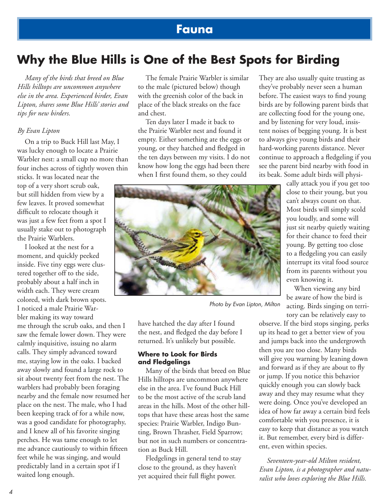## **Fauna**

## **Why the Blue Hills is One of the Best Spots for Birding**

*Many of the birds that breed on Blue Hills hilltops are uncommon anywhere else in the area. Experienced birder, Evan Lipton, shares some Blue Hills' stories and tips for new birders.*

### *By Evan Lipton*

On a trip to Buck Hill last May, I was lucky enough to locate a Prairie Warbler nest: a small cup no more than four inches across of tightly woven thin

sticks. It was located near the top of a very short scrub oak, but still hidden from view by a few leaves. It proved somewhat difficult to relocate though it was just a few feet from a spot I usually stake out to photograph the Prairie Warblers.

I looked at the nest for a moment, and quickly peeked inside. Five tiny eggs were clustered together off to the side, probably about a half inch in width each. They were cream colored, with dark brown spots. I noticed a male Prairie Warbler making its way toward me through the scrub oaks, and then I saw the female lower down. They were calmly inquisitive, issuing no alarm calls. They simply advanced toward me, staying low in the oaks. I backed away slowly and found a large rock to sit about twenty feet from the nest. The warblers had probably been foraging nearby and the female now resumed her place on the nest. The male, who I had been keeping track of for a while now, was a good candidate for photography, and I knew all of his favorite singing perches. He was tame enough to let me advance cautiously to within fifteen feet while he was singing, and would predictably land in a certain spot if I waited long enough.

The female Prairie Warbler is similar to the male (pictured below) though with the greenish color of the back in place of the black streaks on the face and chest.

Ten days later I made it back to the Prairie Warbler nest and found it empty. Either something ate the eggs or young, or they hatched and fledged in the ten days between my visits. I do not know how long the eggs had been there when I first found them, so they could

They are also usually quite trusting as they've probably never seen a human before. The easiest ways to find young birds are by following parent birds that are collecting food for the young one, and by listening for very loud, insistent noises of begging young. It is best to always give young birds and their hard-working parents distance. Never continue to approach a fledgeling if you see the parent bird nearby with food in its beak. Some adult birds will physi-

> cally attack you if you get too close to their young, but you can't always count on that. Most birds will simply scold you loudly, and some will just sit nearby quietly waiting for their chance to feed their young. By getting too close to a fledgeling you can easily interrupt its vital food source from its parents without you even knowing it.

When viewing any bird be aware of how the bird is acting. Birds singing on territory can be relatively easy to

observe. If the bird stops singing, perks up its head to get a better view of you and jumps back into the undergrowth then you are too close. Many birds will give you warning by leaning down and forward as if they are about to fly or jump. If you notice this behavior quickly enough you can slowly back away and they may resume what they were doing. Once you've developed an idea of how far away a certain bird feels comfortable with you presence, it is easy to keep that distance as you watch it. But remember, every bird is different, even within species.

*Seventeen-year-old Milton resident, Evan Lipton, is a photographer and naturalist who loves exploring the Blue Hills.*



Photo by Evan Lipton, Milton

have hatched the day after I found the nest, and fledged the day before I returned. It's unlikely but possible.

### **Where to Look for Birds and Fledgelings**

Many of the birds that breed on Blue Hills hilltops are uncommon anywhere else in the area. I've found Buck Hill to be the most active of the scrub land areas in the hills. Most of the other hilltops that have these areas host the same species: Prairie Warbler, Indigo Bunting, Brown Thrasher, Field Sparrow; but not in such numbers or concentration as Buck Hill.

Fledgelings in general tend to stay close to the ground, as they haven't yet acquired their full flight power.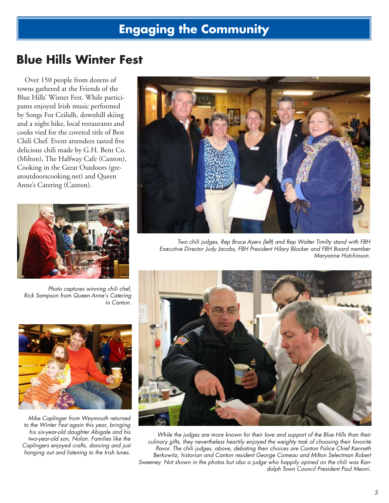## **Engaging the Community**

## **Blue Hills Winter Fest**

Over 150 people from dozens of towns gathered at the Friends of the Blue Hills' Winter Fest. While participants enjoyed Irish music performed by Songs For Ceilidh, downhill skiing and a night hike, local restaurants and cooks vied for the coveted title of Best Chili Chef. Event attendees tasted five delicious chili made by G.H. Bent Co. (Milton), The Halfway Cafe (Canton), Cooking in the Great Outdoors (greatoutdoorscooking.net) and Queen Anne's Catering (Canton).



Photo captures winning chili chef, Rick Sampson from Queen Anne's Catering in Canton.



Mike Caplinger from Weymouth returned to the Winter Fest again this year, bringing his six-year-old daughter Abigale and his two-year-old son, Nolan. Families like the Caplingers enjoyed crafts, dancing and just hanging out and listening to the Irish tunes.



Two chili judges, Rep Bruce Ayers (left) and Rep Walter Timilty stand with FBH Executive Director Judy Jacobs, FBH President Hilary Blocker and FBH Board member Maryanne Hutchinson.



While the judges are more known for their love and support of the Blue Hills than their culinary gifts, they nevertheless heartily enjoyed the weighty task of choosing their favorite flavor. The chili judges, above, debating their choices are Canton Police Chief Kenneth Berkowitz, historian and Canton resident George Comeau and Milton Selectman Robert Sweeney. Not shown in the photos but also a judge who happily opined on the chili was Randolph Town Council President Paul Meoni.